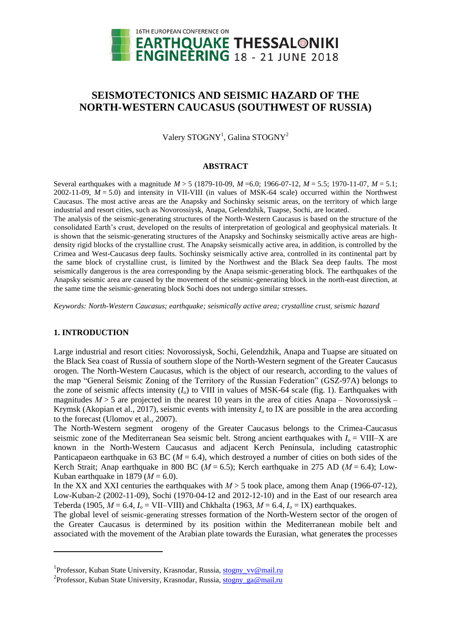

# **SEISMOTECTONICS AND SEISMIC HAZARD OF THE NORTH-WESTERN CAUCASUS (SOUTHWEST OF RUSSIA)**

Valery STOGNY<sup>1</sup>, Galina STOGNY<sup>2</sup>

## **ABSTRACT**

Several earthquakes with a magnitude *M* > 5 (1879-10-09, *M* =6.0; 1966-07-12, *M* = 5.5; 1970-11-07, *M* = 5.1; 2002-11-09,  $M = 5.0$ ) and intensity in VII-VIII (in values of MSK-64 scale) occurred within the Northwest Caucasus. The most active areas are the Anapsky and Sochinsky seismic areas, on the territory of which large industrial and resort cities, such as Novorossiysk, Anapa, Gelendzhik, Tuapse, Sochi, are located.

The analysis of the seismic-generating structures of the North-Western Caucasus is based on the structure of the consolidated Earth's crust, developed on the results of interpretation of geological and geophysical materials. It is shown that the seismic-generating structures of the Anapsky and Sochinsky seismically active areas are highdensity rigid blocks of the crystalline crust. The Anapsky seismically active area, in addition, is controlled by the Crimea and West-Caucasus deep faults. Sochinsky seismically active area, controlled in its continental part by the same block of crystalline crust, is limited by the Northwest and the Black Sea deep faults. The most seismically dangerous is the area corresponding by the Anapa seismic-generating block. The earthquakes of the Anapsky seismic area are caused by the movement of the seismic-generating block in the north-east direction, at the same time the seismic-generating block Sochi does not undergo similar stresses.

*Keywords: North-Western Caucasus; earthquake; seismically active area; crystalline crust, seismic hazard*

## **1. INTRODUCTION**

l

Large industrial and resort cities: Novorossiysk, Sochi, Gelendzhik, Anapa and Tuapse are situated on the Black Sea coast of Russia of southern slope of the North-Western segment of the Greater Caucasus orogen. The North-Western Caucasus, which is the object of our research, according to the values of the map "General Seismic Zoning of the Territory of the Russian Federation" (GSZ-97A) belongs to the zone of seismic affects intensity  $(I_0)$  to VIII in values of MSK-64 scale (fig. 1). Earthquakes with magnitudes  $M > 5$  are projected in the nearest 10 years in the area of cities Anapa – Novorossiysk – Krymsk (Akopian et al., 2017), seismic events with intensity  $I_0$  to IX are possible in the area according to the forecast (Ulomov et al., 2007).

The North-Western segment orogeny of the Greater Caucasus belongs to the Crimea-Caucasus seismic zone of the Mediterranean Sea seismic belt. Strong ancient earthquakes with  $I_0 = VIII-X$  are known in the North-Western Caucasus and adjacent Kerch Peninsula, including catastrophic Panticapaeon earthquake in 63 BC ( $M = 6.4$ ), which destroyed a number of cities on both sides of the Kerch Strait; Anap earthquake in 800 BC (*М* = 6.5); Kerch earthquake in 275 AD (*М* = 6.4); Low-Kuban earthquake in 1879 ( $M = 6.0$ ).

In the XX and XXI centuries the earthquakes with  $M > 5$  took place, among them Anap (1966-07-12), Low-Kuban-2 (2002-11-09), Sochi (1970-04-12 and 2012-12-10) and in the East of our research area Teberda (1905,  $M = 6.4$ ,  $I_0 = VII-VIII$ ) and Chkhalta (1963,  $M = 6.4$ ,  $I_0 = IX$ ) earthquakes.

The global level of seismic-generating stresses formation of the North-Western sector of the orogen of the Greater Caucasus is determined by its position within the Mediterranean mobile belt and associated with the movement of the Arabian plate towards the Eurasian, what generate**s** the processes

<sup>&</sup>lt;sup>1</sup> Professor, Kuban State University, Krasnodar, Russia, [stogny\\_vv@mail.ru](mailto:stogny_vv@mail.ru)

<sup>&</sup>lt;sup>2</sup> Professor, Kuban State University, Krasnodar, Russia, [stogny\\_ga@mail.ru](mailto:stogny_ga@mail.ru)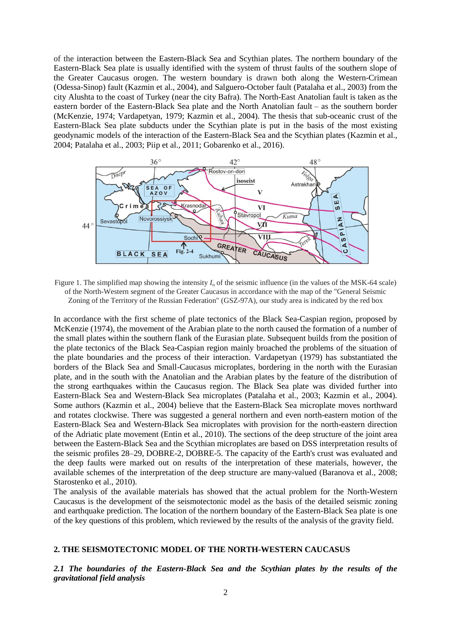of the interaction between the Eastern-Black Sea and Scythian plates. The northern boundary of the Eastern-Black Sea plate is usually identified with the system of thrust faults of the southern slope of the Greater Caucasus orogen. The western boundary is drawn both along the Western-Crimean (Odessa-Sinop) fault (Kazmin et al., 2004), and Salguero-October fault (Patalaha et al., 2003) from the city Alushta to the coast of Turkey (near the city Bafra). The North-East Anatolian fault is taken as the eastern border of the Eastern-Black Sea plate and the North Anatolian fault – as the southern border (McKenzie, 1974; Vardapetyan, 1979; Kazmin et al., 2004). The thesis that sub-oceanic crust of the Eastern-Black Sea plate subducts under the Scythian plate is put in the basis of the most existing geodynamic models of the interaction of the Eastern-Black Sea and the Scythian plates (Kazmin et al., 2004; Patalaha et al., 2003; Piip et al., 2011; Gobarenko et al., 2016).



Figure 1. The simplified map showing the intensity  $I_0$  of the seismic influence (in the values of the MSK-64 scale) of the North-Western segment of the Greater Caucasus in accordance with the map of the "General Seismic Zoning of the Territory of the Russian Federation" (GSZ-97A), our study area is indicated by the red box

In accordance with the first scheme of plate tectonics of the Black Sea-Caspian region, proposed by McKenzie (1974), the movement of the Arabian plate to the north caused the formation of a number of the small plates within the southern flank of the Eurasian plate. Subsequent builds from the position of the plate tectonics of the Black Sea-Caspian region mainly broached the problems of the situation of the plate boundaries and the process of their interaction. Vardapetyan (1979) has substantiated the borders of the Black Sea and Small-Caucasus microplates, bordering in the north with the Eurasian plate, and in the south with the Anatolian and the Arabian plates by the [feature](http://wooordhunt.ru/word/feature) of the distribution of the strong earthquakes within the Caucasus region. The Black Sea plate was divided further into Eastern-Black Sea and Western-Black Sea microplates (Patalaha et al., 2003; Kazmin et al., 2004). Some authors (Kazmin et al., 2004) believe that the Eastern-Black Sea microplate moves northward and rotates clockwise. There was suggested a general northern and even north-eastern motion of the Eastern-Black Sea and Western-Black Sea microplates with provision for the north-eastern direction of the Adriatic plate movement (Entin et al., 2010). The sections of the deep structure of the joint area between the Eastern-Black Sea and the Scythian microplates are based on DSS interpretation results of the seismic profiles 28–29, DOBRE-2, DOBRE-5. The capacity of the Earth's crust was evaluated and the deep faults were marked out on results of the interpretation of these materials, however, the available schemes of the interpretation of the deep structure are many-valued (Baranova et al., 2008; Starostenko et al., 2010).

The analysis of the available materials has showed that the actual problem for the North-Western Caucasus is the development of the seismotectonic model as the basis of the detailed seismic zoning and earthquake prediction. The location of the northern boundary of the Eastern-Black Sea plate is one of the key questions of this problem, which reviewed by the results of the analysis of the gravity field.

#### **2. THE SEISMOTECTONIC MODEL OF THE NORTH-WESTERN CAUCASUS**

*2.1 The boundaries of the Eastern-Black Sea and the Scythian plates by the results of the gravitational field analysis*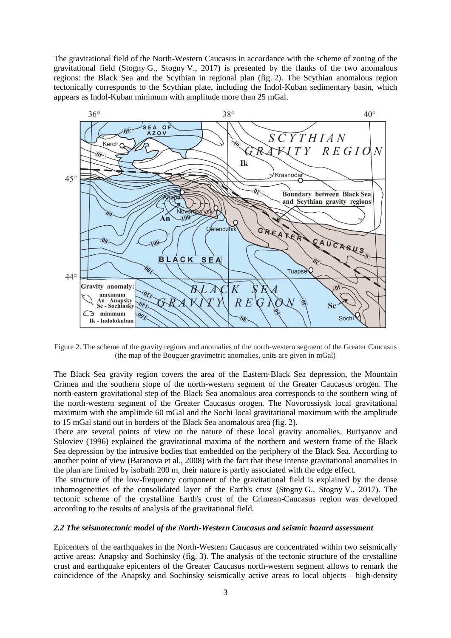The gravitational field of the North-Western Caucasus in accordance with the scheme of zoning of the gravitational field (Stogny G., Stogny V., 2017) is presented by the flanks of the two anomalous regions: the Black Sea and the Scythian in regional plan (fig. 2). The Scythian anomalous region tectonically corresponds to the Scythian plate, including the Indol-Kuban sedimentary basin, which [appears](http://wooordhunt.ru/word/appear) as Indol-Kuban minimum with amplitude more than 25 mGal.



Figure 2. The scheme of the gravity regions and anomalies of the north-western segment of the Greater Caucasus (the map of the Bouguer gravimetric anomalies, units are given in mGal)

The Black Sea gravity region covers the area of the Eastern-Black Sea depression, the Mountain Crimea and the southern slope of the north-western segment of the Greater Caucasus orogen. The north-eastern gravitational step of the Black Sea anomalous area corresponds to the southern wing of the north-western segment of the Greater Caucasus orogen. The Novorossiysk local gravitational maximum with the amplitude 60 mGal and the Sochi local gravitational maximum with the amplitude to 15 mGal stand out in borders of the Black Sea anomalous area (fig. 2).

There are several points of view on the nature of these local gravity anomalies. Buriyanov and Soloviev (1996) explained the gravitational maxima of the northern and western frame of the Black Sea depression by the intrusive bodies that embedded on the periphery of the Black Sea. According to another point of view (Baranova et al., 2008) with the fact that these intense gravitational anomalies in the plan are limited by isobath 200 m, their nature is partly associated with the edge effect.

The structure of the low-frequency component of the gravitational field is explained by the dense inhomogeneities of the consolidated layer of the Earth's crust (Stogny G., Stogny V., 2017). The tectonic scheme of the crystalline Earth's crust of the Crimean-Caucasus region was developed according to the results of analysis of the gravitational field.

## *2.2 The seismotectonic model of the North-Western Caucasus and seismic hazard assessment*

Epicenters of the earthquakes in the North-Western Caucasus are concentrated within two seismically active areas: Anapsky and Sochinsky (fig. 3). The analysis of the tectonic structure of the crystalline crust and earthquake epicenters of the Greater Caucasus north-western segment allows to remark the coincidence of the Anapsky and Sochinsky seismically active areas to local objects – high-density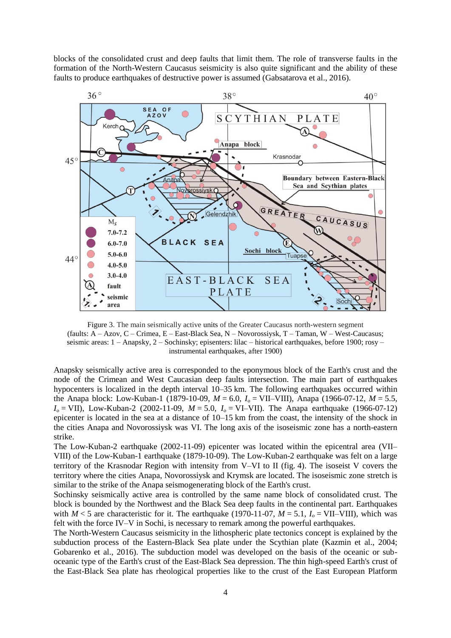blocks of the consolidated crust and deep faults that limit them. The role of transverse faults in the formation of the North-Western Caucasus seismicity is also quite significant and the ability of these faults to produce earthquakes of destructive power is assumed (Gabsatarova et al., 2016).



Figure 3. The main seismically active units of the Greater Caucasus north-western segment (faults: A – Azov, C – Crimea, E – East-Black Sea, N – Novorossiysk, T – Taman, W – West-Caucasus; seismic areas: 1 – Anapsky, 2 – Sochinsky; episenters: lilac – historical earthquakes, before 1900; rosy – instrumental earthquakes, after 1900)

Anapsky seismically active area is corresponded to the eponymous block of the Earth's crust and the node of the Crimean and West Caucasian deep faults intersection. The main part of earthquakes hypocenters is localized in the depth interval 10–35 km. The following earthquakes occurred within the Anapa block: Low-Kuban-1 (1879-10-09,  $M = 6.0$ ,  $I_0 = VII-VIII$ ), Anapa (1966-07-12,  $M = 5.5$ ,  $I_0 = \text{VII}$ , Low-Kuban-2 (2002-11-09,  $M = 5.0$ ,  $I_0 = \text{VI-VII}$ ). The Anapa earthquake (1966-07-12) epicenter is located in the sea at a distance of 10–15 km from the coast, the intensity of the shock in the cities Anapa and Novorossiysk was VI. The long axis of the isoseismic zone has a north-eastern strike.

The Low-Kuban-2 earthquake (2002-11-09) epicenter was located within the epicentral area (VII– VIII) of the Low-Kuban-1 earthquake (1879-10-09). The Low-Kuban-2 earthquake was felt on a large territory of the Krasnodar Region with intensity from V–VI to II (fig. 4). The isoseist V covers the territory where the cities Anapa, Novorossiysk and Krymsk are located. The isoseismic zone stretch is similar to the strike of the Anapa seismogenerating block of the Earth's crust.

Sochinsky seismically active area is controlled by the same name block of consolidated crust. The block is bounded by the Northwest and the Black Sea deep faults in the continental part. Earthquakes with  $M < 5$  are characteristic for it. The earthquake (1970-11-07,  $M = 5.1$ ,  $I_0 = VII-VIII$ ), which was felt with the force IV–V in Sochi, is necessary to remark among the powerful earthquakes.

The North-Western Caucasus seismicity in the lithospheric plate tectonics concept is explained by the subduction process of the Eastern-Black Sea plate under the Scythian plate (Kazmin et al., 2004; Gobarenko et al., 2016). The subduction model was developed on the basis of the oceanic or suboceanic type of the Earth's crust of the East-Black Sea depression. The thin high-speed Earth's crust of the East-Black Sea plate has rheological properties like to the crust of the East European Platform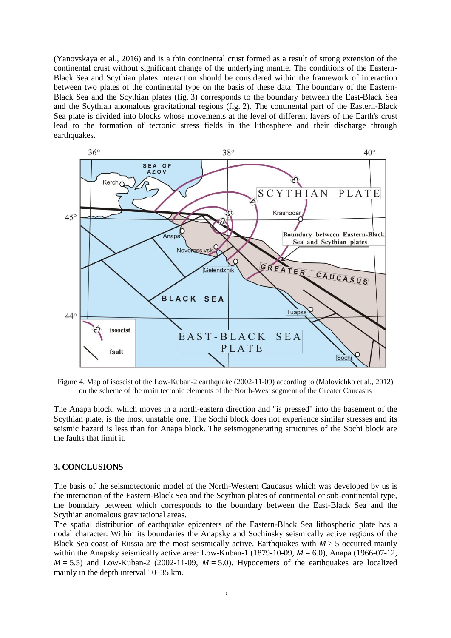(Yanovskaya et al., 2016) and is a thin continental crust formed as a result of strong extension of the continental crust without significant change of the underlying mantle. The conditions of the Eastern-Black Sea and Scythian plates interaction should be considered within the framework of interaction between two plates of the continental type on the basis of these data. The boundary of the Eastern-Black Sea and the Scythian plates (fig. 3) corresponds to the boundary between the East-Black Sea and the Scythian anomalous gravitational regions (fig. 2). The continental part of the Eastern-Black Sea plate is divided into blocks whose movements at the level of different layers of the Earth's crust lead to the formation of tectonic stress fields in the lithosphere and their discharge through earthquakes.



Figure 4. Map of isoseist of the Low-Kuban-2 earthquake (2002-11-09) according to (Malovichko et al., 2012) on the scheme of the main tectonic elements of the North-West segment of the Greater Caucasus

The Anapa block, which moves in a north-eastern direction and "is pressed" into the basement of the Scythian plate, is the most unstable one. The Sochi block does not experience similar stresses and its seismic hazard is less than for Anapa block. The seismogenerating structures of the Sochi block are the faults that limit it.

#### **3. CONCLUSIONS**

The basis of the seismotectonic model of the North-Western Caucasus which was developed by us is the interaction of the Eastern-Black Sea and the Scythian plates of continental or sub-continental type, the boundary between which corresponds to the boundary between the East-Black Sea and the Scythian anomalous gravitational areas.

The spatial distribution of earthquake epicenters of the Eastern-Black Sea lithospheric plate has a nodal character. Within its boundaries the Anapsky and Sochinsky seismically active regions of the Black Sea coast of Russia are the most seismically active. Earthquakes with  $M > 5$  occurred mainly within the Anapsky seismically active area: Low-Kuban-1 (1879-10-09,  $M = 6.0$ ), Anapa (1966-07-12,  $M = 5.5$ ) and Low-Kuban-2 (2002-11-09,  $M = 5.0$ ). Hypocenters of the earthquakes are localized mainly in the depth interval 10–35 km.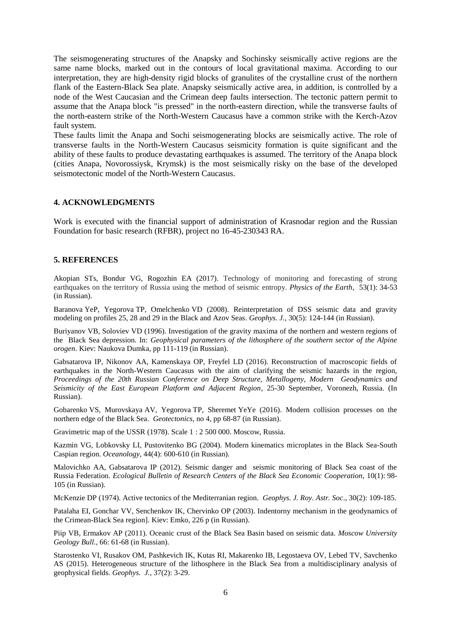The seismogenerating structures of the Anapsky and Sochinsky seismically active regions are the same name blocks, marked out in the contours of local gravitational maxima. According to our interpretation, they are high-density rigid blocks of granulites of the crystalline crust of the northern flank of the Eastern-Black Sea plate. Anapsky seismically active area, in addition, is controlled by a node of the West Caucasian and the Crimean deep faults intersection. The tectonic pattern permit to assume that the Anapa block "is pressed" in the north-eastern direction, while the transverse faults of the north-eastern strike of the North-Western Caucasus have a common strike with the Kerch-Azov fault system.

These faults limit the Anapa and Sochi seismogenerating blocks are seismically active. The role of transverse faults in the North-Western Caucasus seismicity formation is quite significant and the ability of these faults to produce devastating earthquakes is assumed. The territory of the Anapa block (cities Anapa, Novorossiysk, Krymsk) is the most seismically risky on the base of the developed seismotectonic model of the North-Western Caucasus.

## **4. ACKNOWLEDGMENTS**

Work is executed with the financial support of administration of Krasnodar region and the Russian Foundation for basic research (RFBR), project no 16-45-230343 RA.

## **5. REFERENCES**

Akopian STs, Bondur VG, Rogozhin EA (2017). Technology of monitoring and forecasting of strong earthquakes on the territory of Russia using the method of seismic entropy. *Physics of the Earth*, 53(1): 34-53 (in Russian).

Baranova YeP, Yegorova TP, Omelchenko VD (2008). Reinterpretation of DSS seismic data and gravity modeling on profiles 25, 28 and 29 in the Black and Azov Seas. *Geophys. J.*, 30(5): 124-144 (in Russian).

Buriyanov VB, Soloviev VD (1996). Investigation of the gravity maxima of the northern and western regions of the Black Sea depression. In: *Geophysical parameters of the lithosphere of the southern sector of the Alpine orogen*. Kiev: Naukova Dumka, pp 111-119 (in Russian).

Gabsatarova IP, Nikonov AA, Kamenskaya OP, Freyfel LD (2016). Reconstruction of macroscopic fields of earthquakes in the North-Western Caucasus with the aim of clarifying the seismic hazards in the region, *Proceedings of the 20th Russian Conference on Deep Structure, Metallogeny, Modern Geodynamics and Seismicity of the East European Platform and Adjacent Region*, 25-30 September, Voronezh, Russia. (In Russian).

Gobarenko VS, Murovskaya AV, Yegorova TP, Sheremet YeYe (2016). Modern collision processes on the northern edge of the Black Sea. *Geotectonics*, no 4, pp 68-87 (in Russian).

Gravimetric map of the USSR (1978). Scale 1 : 2 500 000. Moscow, Russia.

Kazmin VG, Lobkovsky LI, Pustovitenko BG (2004). Modern kinematics microplates in the Black Sea-South Caspian region. *Oceanology*, 44(4): 600-610 (in Russian).

Malovichko AA, Gabsatarova IP (2012). Seismic danger and seismic monitoring of Black Sea coast of the Russia Federation. *Ecological Bulletin of Research Centers of the Black Sea Economic Cooperation*, 10(1): 98- 105 (in Russian).

McKenzie DP (1974). Active tectonics of the Mediterranian region. *Geophys. J. Roy. Astr. Soc*., 30(2): 109-185.

Patalaha EI, Gonchar VV, Senchenkov IK, Chervinko OP (2003). Indentorny mechanism in the geodynamics of the Crimean-Black Sea region]. Kiev: Emko, 226 p (in Russian).

Piip VB, Ermakov AP (2011). Oceanic crust of the Black Sea Basin based on seismic data. *Moscow University Geology Bull.*, 66: 61-68 (in Russian).

Starostenko VI, Rusakov OM, Pashkevich IK, Kutas RI, Makarenko IB, Legostaeva OV, Lebed TV, Savchenko AS (2015). Heterogeneous structure of the lithosphere in the Black Sea from a multidisciplinary analysis of geophysical fields. *Geophys. J.*, 37(2): 3-29.